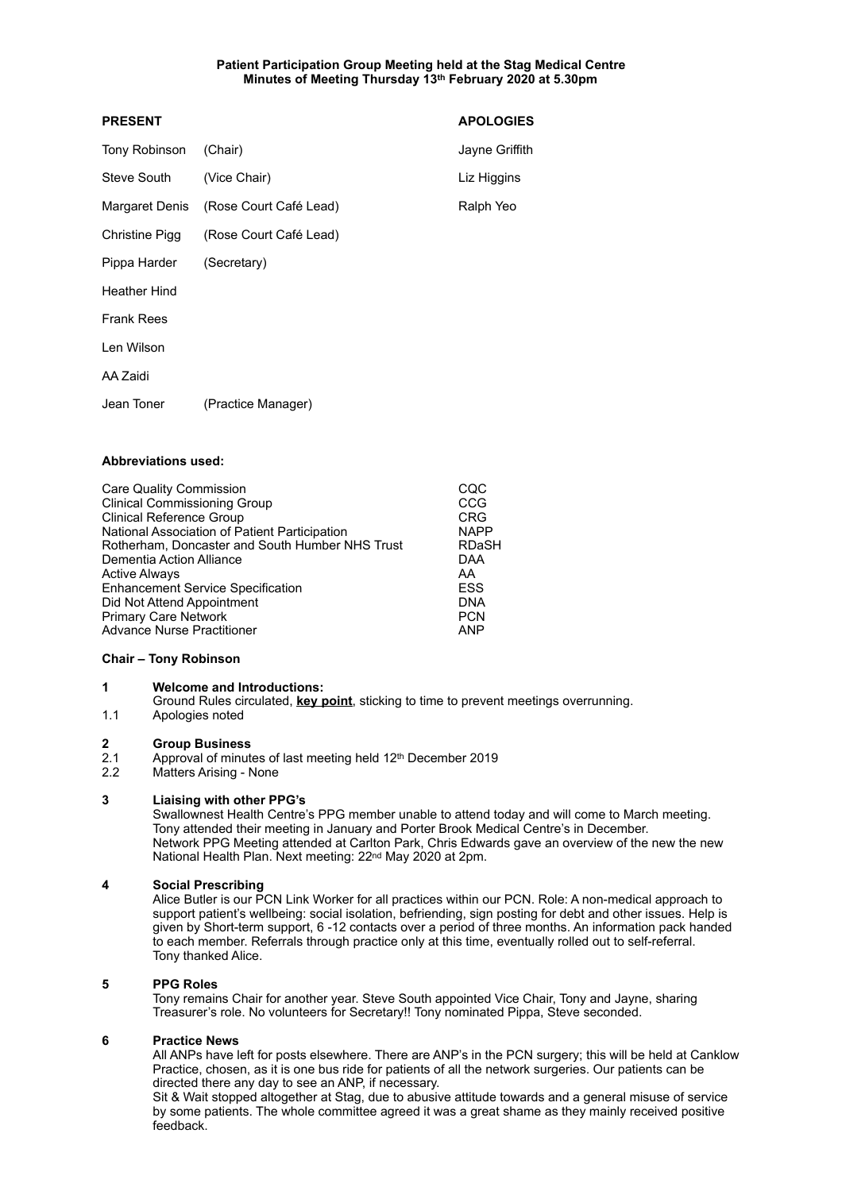# **Patient Participation Group Meeting held at the Stag Medical Centre Minutes of Meeting Thursday 13th February 2020 at 5.30pm**

| <b>PRESENT</b>      |                        | <b>APOLOGIES</b> |
|---------------------|------------------------|------------------|
| Tony Robinson       | (Chair)                | Jayne Griffith   |
| Steve South         | (Vice Chair)           | Liz Higgins      |
| Margaret Denis      | (Rose Court Café Lead) | Ralph Yeo        |
| Christine Pigg      | (Rose Court Café Lead) |                  |
| Pippa Harder        | (Secretary)            |                  |
| <b>Heather Hind</b> |                        |                  |
| <b>Frank Rees</b>   |                        |                  |
| Len Wilson          |                        |                  |
| AA Zaidi            |                        |                  |
| Jean Toner          | (Practice Manager)     |                  |
|                     |                        |                  |

# **Abbreviations used:**

| <b>Care Quality Commission</b>                  | CQC          |
|-------------------------------------------------|--------------|
| <b>Clinical Commissioning Group</b>             | CCG          |
| <b>Clinical Reference Group</b>                 | <b>CRG</b>   |
| National Association of Patient Participation   | <b>NAPP</b>  |
| Rotherham, Doncaster and South Humber NHS Trust | <b>RDaSH</b> |
| Dementia Action Alliance                        | DAA          |
| <b>Active Always</b>                            | AA           |
| <b>Enhancement Service Specification</b>        | <b>ESS</b>   |
| Did Not Attend Appointment                      | <b>DNA</b>   |
| <b>Primary Care Network</b>                     | <b>PCN</b>   |
| <b>Advance Nurse Practitioner</b>               | <b>ANP</b>   |
|                                                 |              |

### **Chair – Tony Robinson**

## **1 Welcome and Introductions:**

 Ground Rules circulated, **key point**, sticking to time to prevent meetings overrunning. 1.1 Apologies noted

### **2 Group Business**

2.1 Approval of minutes of last meeting held  $12<sup>th</sup>$  December 2019<br>2.2 Matters Arising - None

Matters Arising - None

### **3 Liaising with other PPG's**

Swallownest Health Centre's PPG member unable to attend today and will come to March meeting. Tony attended their meeting in January and Porter Brook Medical Centre's in December. Network PPG Meeting attended at Carlton Park, Chris Edwards gave an overview of the new the new National Health Plan. Next meeting: 22nd May 2020 at 2pm.

### **4 Social Prescribing**

Alice Butler is our PCN Link Worker for all practices within our PCN. Role: A non-medical approach to support patient's wellbeing: social isolation, befriending, sign posting for debt and other issues. Help is given by Short-term support, 6 -12 contacts over a period of three months. An information pack handed to each member. Referrals through practice only at this time, eventually rolled out to self-referral. Tony thanked Alice.

### **5 PPG Roles**

Tony remains Chair for another year. Steve South appointed Vice Chair, Tony and Jayne, sharing Treasurer's role. No volunteers for Secretary!! Tony nominated Pippa, Steve seconded.

### **6 Practice News**

All ANPs have left for posts elsewhere. There are ANP's in the PCN surgery; this will be held at Canklow Practice, chosen, as it is one bus ride for patients of all the network surgeries. Our patients can be directed there any day to see an ANP, if necessary.

Sit & Wait stopped altogether at Stag, due to abusive attitude towards and a general misuse of service by some patients. The whole committee agreed it was a great shame as they mainly received positive feedback.